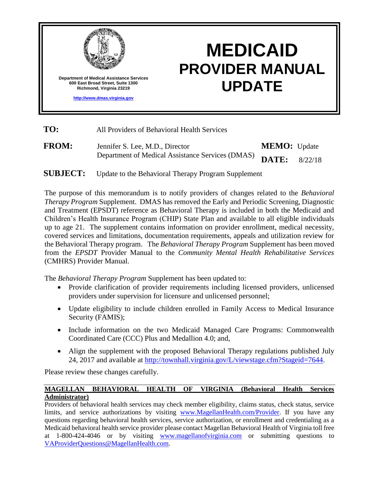

# **MEDICAID PROVIDER MANUAL UPDATE**

**TO:** All Providers of Behavioral Health Services

**FROM:** Jennifer S. Lee, M.D., Director Department of Medical Assistance Services (DMAS) **MEMO:** Update **DATE:** 8/22/18

**SUBJECT:** Update to the Behavioral Therapy Program Supplement

The purpose of this memorandum is to notify providers of changes related to the *Behavioral Therapy Program* Supplement. DMAS has removed the Early and Periodic Screening, Diagnostic and Treatment (EPSDT) reference as Behavioral Therapy is included in both the Medicaid and Children's Health Insurance Program (CHIP) State Plan and available to all eligible individuals up to age 21. The supplement contains information on provider enrollment, medical necessity, covered services and limitations, documentation requirements, appeals and utilization review for the Behavioral Therapy program. The *Behavioral Therapy Program* Supplement has been moved from the *EPSDT* Provider Manual to the *Community Mental Health Rehabilitative Services*  (CMHRS) Provider Manual.

The *Behavioral Therapy Program* Supplement has been updated to:

- Provide clarification of provider requirements including licensed providers, unlicensed providers under supervision for licensure and unlicensed personnel;
- Update eligibility to include children enrolled in Family Access to Medical Insurance Security (FAMIS);
- Include information on the two Medicaid Managed Care Programs: Commonwealth Coordinated Care (CCC) Plus and Medallion 4.0; and,
- Align the supplement with the proposed Behavioral Therapy regulations published July 24, 2017 and available at [http://townhall.virginia.gov/L/viewstage.cfm?Stageid=7644.](http://townhall.virginia.gov/L/viewstage.cfm?Stageid=7644)

Please review these changes carefully.

### **MAGELLAN BEHAVIORAL HEALTH OF VIRGINIA (Behavioral Health Services Administrator)**

Providers of behavioral health services may check member eligibility, claims status, check status, service limits, and service authorizations by visiting [www.MagellanHealth.com/Provider.](http://www.magellanhealth.com/Provider) If you have any questions regarding behavioral health services, service authorization, or enrollment and credentialing as a Medicaid behavioral health service provider please contact Magellan Behavioral Health of Virginia toll free at 1-800-424-4046 or by visiting [www.magellanofvirginia.com](file:///C:/Users/vmh49622/AppData/Local/Microsoft/Windows/Temporary%20Internet%20Files/Content.Outlook/37DLTVL7/www.magellanofvirginia.com) or submitting questions to [VAProviderQuestions@MagellanHealth.com.](file:///C:/Users/vmh49622/AppData/Local/Microsoft/Windows/Temporary%20Internet%20Files/Content.Outlook/37DLTVL7/VAProviderQuestions@MagellanHealth.com)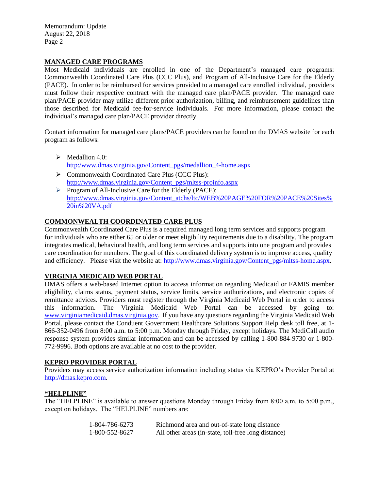Memorandum: Update August 22, 2018 Page 2

#### **MANAGED CARE PROGRAMS**

Most Medicaid individuals are enrolled in one of the Department's managed care programs: Commonwealth Coordinated Care Plus (CCC Plus), and Program of All-Inclusive Care for the Elderly (PACE). In order to be reimbursed for services provided to a managed care enrolled individual, providers must follow their respective contract with the managed care plan/PACE provider. The managed care plan/PACE provider may utilize different prior authorization, billing, and reimbursement guidelines than those described for Medicaid fee-for-service individuals. For more information, please contact the individual's managed care plan/PACE provider directly.

Contact information for managed care plans/PACE providers can be found on the DMAS website for each program as follows:

- $\triangleright$  Medallion 4.0: [http:/www.dmas.virginia.gov/Content\\_pgs/medallion\\_4-home.aspx](http://www.dmas.virginia.gov/Content_pgs/medallion_4-home.aspx)
- Commonwealth Coordinated Care Plus (CCC Plus): [http://www.dmas.virginia.gov/Content\\_pgs/mltss-proinfo.aspx](http://www.dmas.virginia.gov/Content_pgs/mltss-proinfo.aspx)
- Program of All-Inclusive Care for the Elderly (PACE): [http://www.dmas.virginia.gov/Content\\_atchs/ltc/WEB%20PAGE%20FOR%20PACE%20Sites%](http://www.dmas.virginia.gov/Content_atchs/ltc/WEB%20PAGE%20FOR%20PACE%20Sites%20in%20VA.pdf) [20in%20VA.pdf](http://www.dmas.virginia.gov/Content_atchs/ltc/WEB%20PAGE%20FOR%20PACE%20Sites%20in%20VA.pdf)

#### **COMMONWEALTH COORDINATED CARE PLUS**

Commonwealth Coordinated Care Plus is a required managed long term services and supports program for individuals who are either 65 or older or meet eligibility requirements due to a disability. The program integrates medical, behavioral health, and long term services and supports into one program and provides care coordination for members. The goal of this coordinated delivery system is to improve access, quality and efficiency. Please visit the website at: [http://www.dmas.virginia.gov/Content\\_pgs/mltss-home.aspx.](http://www.dmas.virginia.gov/Content_pgs/mltss-home.aspx)

#### **VIRGINIA MEDICAID WEB PORTAL**

DMAS offers a web-based Internet option to access information regarding Medicaid or FAMIS member eligibility, claims status, payment status, service limits, service authorizations, and electronic copies of remittance advices. Providers must register through the Virginia Medicaid Web Portal in order to access this information. The Virginia Medicaid Web Portal can be accessed by going to: [www.virginiamedicaid.dmas.virginia.gov.](http://www.virginiamedicaid.dmas.virginia.gov/) If you have any questions regarding the Virginia Medicaid Web Portal, please contact the Conduent Government Healthcare Solutions Support Help desk toll free, at 1- 866-352-0496 from 8:00 a.m. to 5:00 p.m. Monday through Friday, except holidays. The MediCall audio response system provides similar information and can be accessed by calling 1-800-884-9730 or 1-800- 772-9996. Both options are available at no cost to the provider.

#### **KEPRO PROVIDER PORTAL**

Providers may access service authorization information including status via KEPRO's Provider Portal at [http://dmas.kepro.com.](http://dmas.kepro.com/)

#### **"HELPLINE"**

The "HELPLINE" is available to answer questions Monday through Friday from 8:00 a.m. to 5:00 p.m., except on holidays. The "HELPLINE" numbers are:

| 1-804-786-6273 | Richmond area and out-of-state long distance        |
|----------------|-----------------------------------------------------|
| 1-800-552-8627 | All other areas (in-state, toll-free long distance) |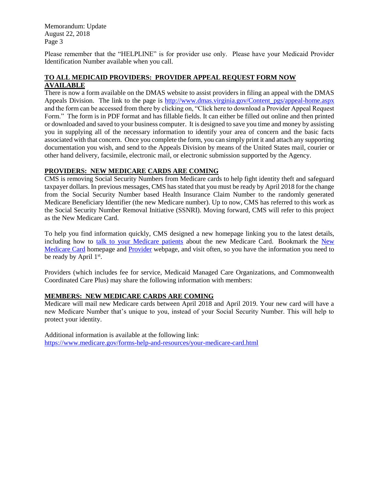Memorandum: Update August 22, 2018 Page 3

Please remember that the "HELPLINE" is for provider use only. Please have your Medicaid Provider Identification Number available when you call.

#### **TO ALL MEDICAID PROVIDERS: PROVIDER APPEAL REQUEST FORM NOW AVAILABLE**

There is now a form available on the DMAS website to assist providers in filing an appeal with the DMAS Appeals Division. The link to the page is [http://www.dmas.virginia.gov/Content\\_pgs/appeal-home.aspx](http://www.dmas.virginia.gov/Content_pgs/appeal-home.aspx) and the form can be accessed from there by clicking on, "Click here to download a Provider Appeal Request Form." The form is in PDF format and has fillable fields. It can either be filled out online and then printed or downloaded and saved to your business computer. It is designed to save you time and money by assisting you in supplying all of the necessary information to identify your area of concern and the basic facts associated with that concern. Once you complete the form, you can simply print it and attach any supporting documentation you wish, and send to the Appeals Division by means of the United States mail, courier or other hand delivery, facsimile, electronic mail, or electronic submission supported by the Agency.

#### **PROVIDERS: NEW MEDICARE CARDS ARE COMING**

CMS is removing Social Security Numbers from Medicare cards to help fight identity theft and safeguard taxpayer dollars. In previous messages, CMS has stated that you must be ready by April 2018 for the change from the Social Security Number based Health Insurance Claim Number to the randomly generated Medicare Beneficiary Identifier (the new Medicare number). Up to now, CMS has referred to this work as the Social Security Number Removal Initiative (SSNRI). Moving forward, CMS will refer to this project as the New Medicare Card.

To help you find information quickly, CMS designed a new homepage linking you to the latest details, including how to [talk to your Medicare patients](https://www.cms.gov/Medicare/New-Medicare-Card/New-Medicare-Card-Messaging-Guidelines-July-2017.pdf) about the new Medicare Card. Bookmark the New [Medicare Card](https://www.cms.gov/medicare/new-medicare-card/nmc-home.html) homepage and [Provider](https://www.cms.gov/Medicare/New-Medicare-Card/Providers/Providers.html) webpage, and visit often, so you have the information you need to be ready by April 1<sup>st</sup>.

Providers (which includes fee for service, Medicaid Managed Care Organizations, and Commonwealth Coordinated Care Plus) may share the following information with members:

#### **MEMBERS: NEW MEDICARE CARDS ARE COMING**

Medicare will mail new Medicare cards between April 2018 and April 2019. Your new card will have a new Medicare Number that's unique to you, instead of your Social Security Number. This will help to protect your identity.

Additional information is available at the following link: <https://www.medicare.gov/forms-help-and-resources/your-medicare-card.html>